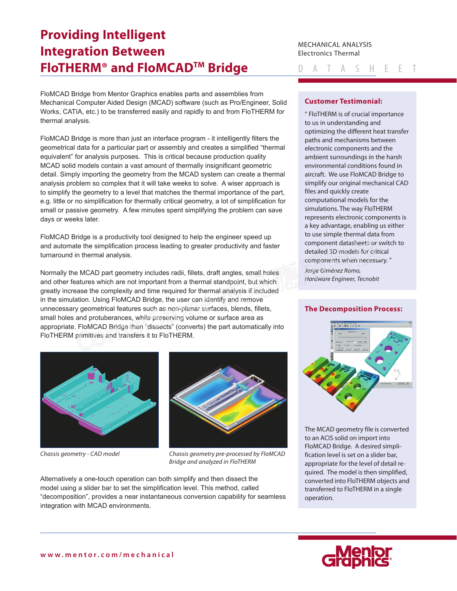# **Providing Intelligent Integration Between FloTHERM® and FloMCADTM Bridge**

FloMCAD Bridge from Mentor Graphics enables parts and assemblies from Mechanical Computer Aided Design (MCAD) software (such as Pro/Engineer, Solid Works, CATIA, etc.) to be transferred easily and rapidly to and from FloTHERM for thermal analysis.

FloMCAD Bridge is more than just an interface program - it intelligently filters the geometrical data for a particular part or assembly and creates a simplified "thermal equivalent" for analysis purposes. This is critical because production quality MCAD solid models contain a vast amount of thermally insignificant geometric detail. Simply importing the geometry from the MCAD system can create a thermal analysis problem so complex that it will take weeks to solve. A wiser approach is to simplify the geometry to a level that matches the thermal importance of the part, [e.g. little or no simplification for thermally critical geometry, a lot of simplification for](https://corner-stone.com.tw)  small or passive geometry. A few minutes spent simplifying the problem can save days or weeks later.

FloMCAD Bridge is a productivity tool designed to help the engineer speed up and automate the simplification process leading to greater productivity and faster turnaround in thermal analysis.

Normally the MCAD part geometry includes radii, fillets, draft angles, small holes and other features which are not important from a thermal standpoint, but which greatly increase the complexity and time required for thermal analysis if included in the simulation. Using FloMCAD Bridge, the user can identify and remove unnecessary geometrical features such as non-planar surfaces, blends, fillets, small holes and protuberances, while preserving volume or surface area as appropriate. FloMCAD Bridge then "dissects" (converts) the part automatically into FloTHERM primitives and transfers it to FloTHERM.





*Chassis geometry - CAD model Chassis geometry pre-processed by FloMCAD Bridge and analyzed in FloTHERM*

Alternatively a one-touch operation can both simplify and then dissect the model using a slider bar to set the simplification level. This method, called "decomposition", provides a near instantaneous conversion capability for seamless integration with MCAD environments.

MECHANICAL ANALYSIS Electronics Thermal

A T A S H E E T

## **Customer Testimonial:**

" FloTHERM is of crucial importance to us in understanding and optimizing the different heat transfer paths and mechanisms between electronic components and the ambient surroundings in the harsh environmental conditions found in aircraft. We use FloMCAD Bridge to simplify our original mechanical CAD files and quickly create computational models for the simulations. The way FloTHERM represents electronic components is a key advantage, enabling us either to use simple thermal data from component datasheets or switch to detailed 3D models for critical components when necessary. " *Jorge Giménez Romo, Hardware Engineer, Tecnobit*

#### **The Decomposition Process:**



The MCAD geometry file is converted to an ACIS solid on import into FloMCAD Bridge. A desired simplification level is set on a slider bar, appropriate for the level of detail required. The model is then simplified, converted into FloTHERM objects and transferred to FloTHERM in a single operation.